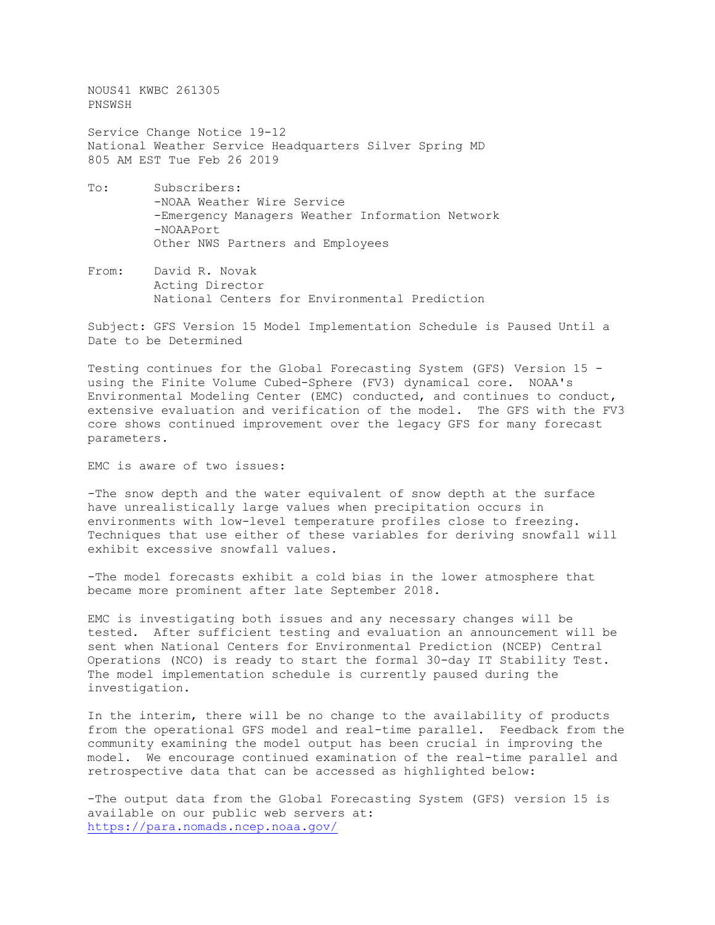NOUS41 KWBC 261305 PNSWSH Service Change Notice 19-12 National Weather Service Headquarters Silver Spring MD 805 AM EST Tue Feb 26 2019 To: Subscribers:

- -NOAA Weather Wire Service -Emergency Managers Weather Information Network -NOAAPort Other NWS Partners and Employees
- From: David R. Novak Acting Director National Centers for Environmental Prediction

Subject: GFS Version 15 Model Implementation Schedule is Paused Until a Date to be Determined

Testing continues for the Global Forecasting System (GFS) Version 15 using the Finite Volume Cubed-Sphere (FV3) dynamical core. NOAA's Environmental Modeling Center (EMC) conducted, and continues to conduct, extensive evaluation and verification of the model. The GFS with the FV3 core shows continued improvement over the legacy GFS for many forecast parameters.

EMC is aware of two issues:

-The snow depth and the water equivalent of snow depth at the surface have unrealistically large values when precipitation occurs in environments with low-level temperature profiles close to freezing. Techniques that use either of these variables for deriving snowfall will exhibit excessive snowfall values.

-The model forecasts exhibit a cold bias in the lower atmosphere that became more prominent after late September 2018.

EMC is investigating both issues and any necessary changes will be tested. After sufficient testing and evaluation an announcement will be sent when National Centers for Environmental Prediction (NCEP) Central Operations (NCO) is ready to start the formal 30-day IT Stability Test. The model implementation schedule is currently paused during the investigation.

In the interim, there will be no change to the availability of products from the operational GFS model and real-time parallel. Feedback from the community examining the model output has been crucial in improving the model. We encourage continued examination of the real-time parallel and retrospective data that can be accessed as highlighted below:

-The output data from the Global Forecasting System (GFS) version 15 is available on our public web servers at: <https://para.nomads.ncep.noaa.gov/>